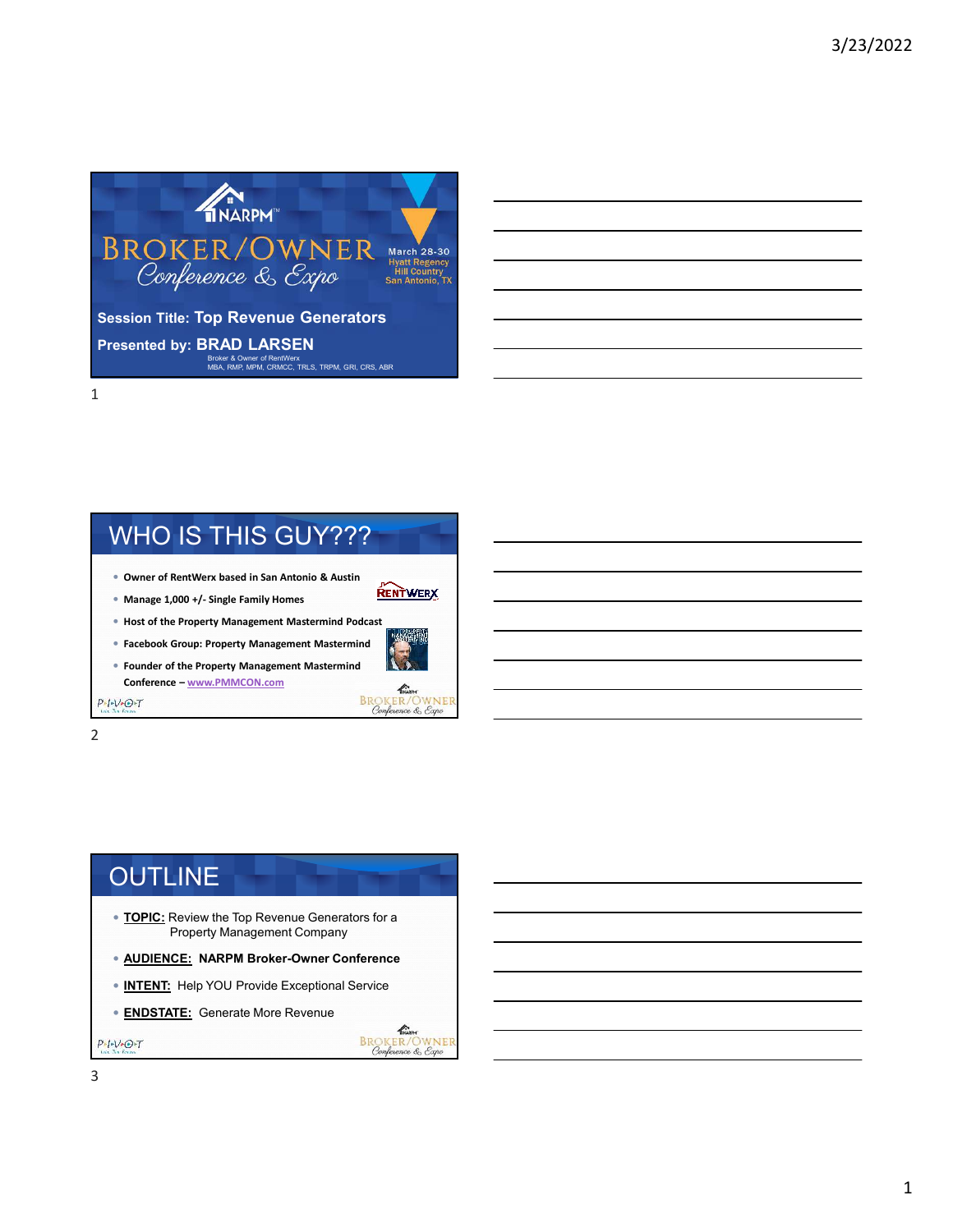

# WHO IS THIS GUY???

- **Owner of RentWerx based in San Antonio & Austin**
- **Manage 1,000 +/- Single Family Homes**
- **Host of the Property Management Mastermind Podcast**
- **Facebook Group: Property Management Mastermind**
- **Founder of the Property Management Mastermind Conference – www.PMMCON.com**



THARPH **BROKER/OWNER**<br>Conference & Expo

**RENTWERX** 

2

 $P-I-V+O+T$ 

## **OUTLINE**

- **TOPIC:** Review the Top Revenue Generators for a Property Management Company
- **AUDIENCE: NARPM Broker-Owner Conference**
- **INTENT:** Help YOU Provide Exceptional Service
- **ENDSTATE:** Generate More Revenue

 $P+I+V+O+T$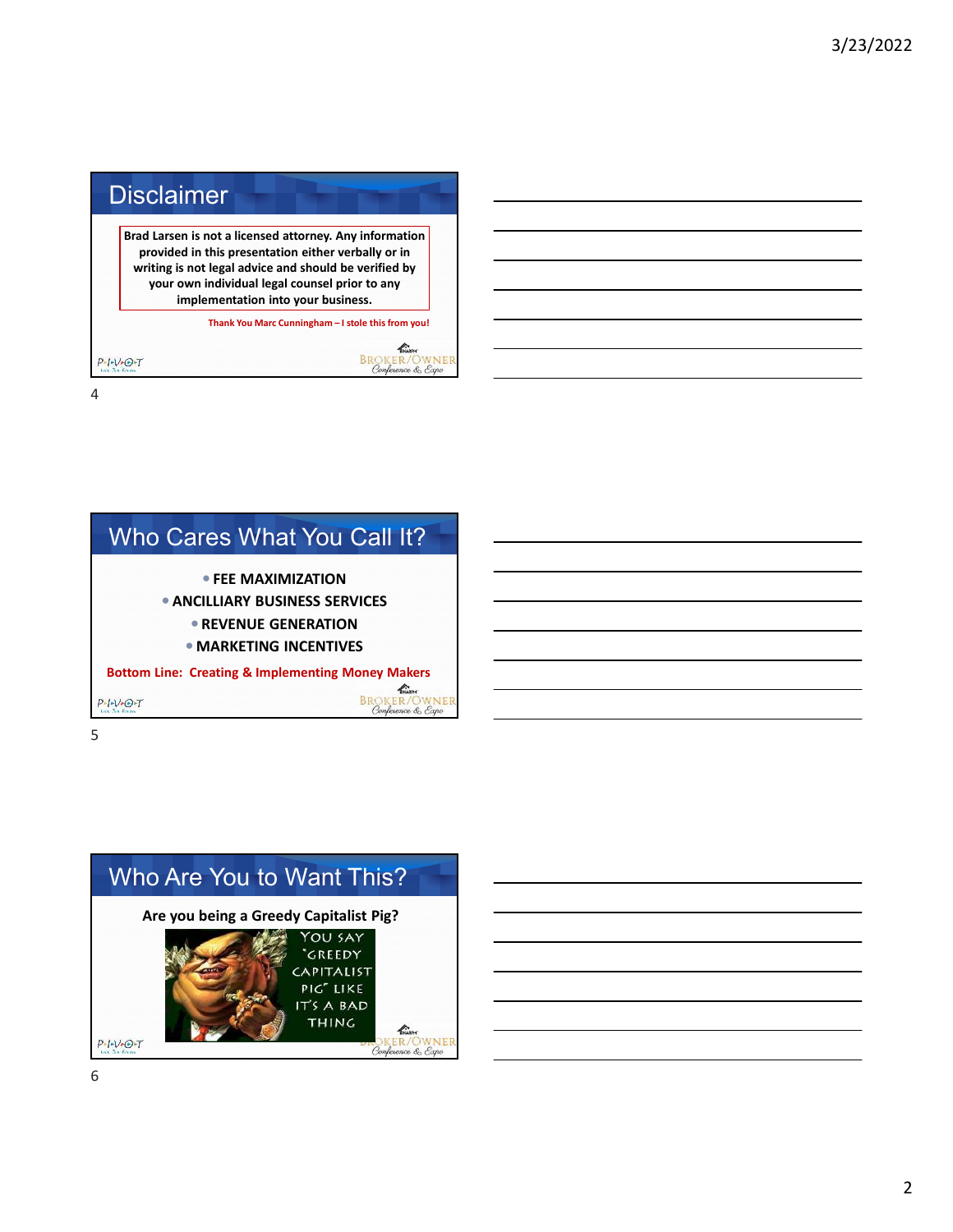



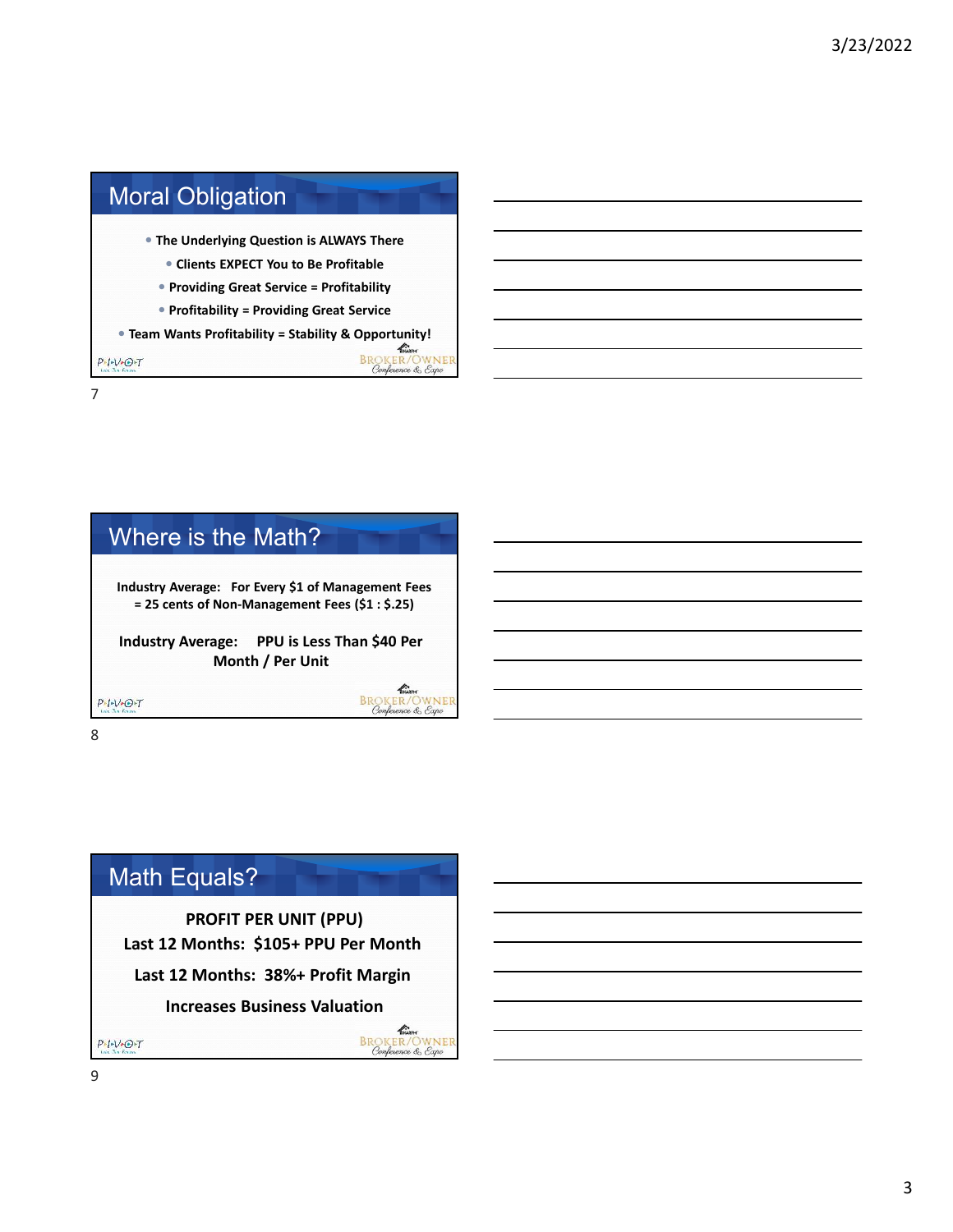





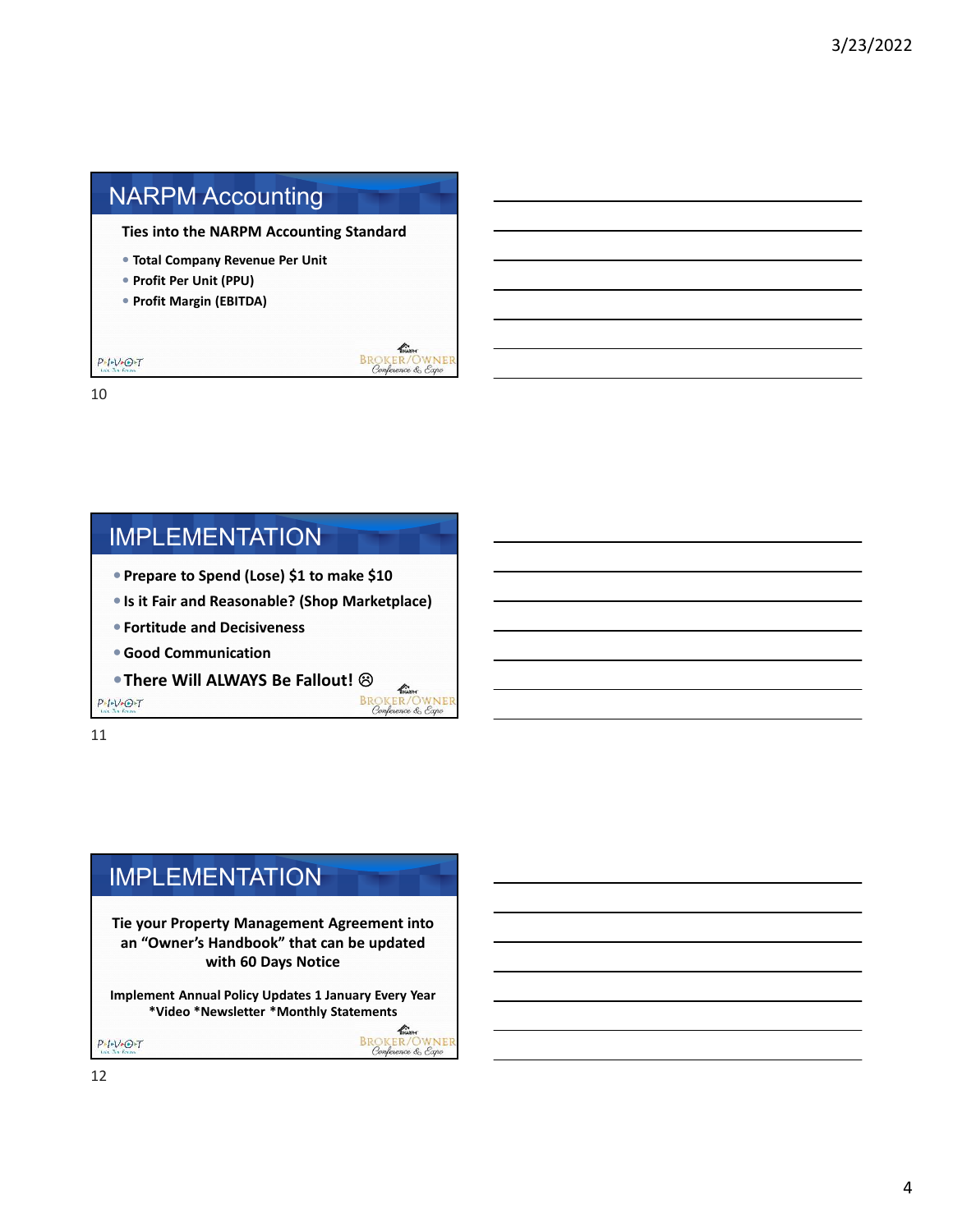# NARPM Accounting

**Ties into the NARPM Accounting Standard**

- **Total Company Revenue Per Unit**
- **Profit Per Unit (PPU)**
- **Profit Margin (EBITDA)**



 $\mathscr{L}$ 

10

 $P-I-V+O+T$ 

#### IMPLEMENTATION

- **Prepare to Spend (Lose) \$1 to make \$10**
- **Is it Fair and Reasonable? (Shop Marketplace)**
- **Fortitude and Decisiveness**
- **Good Communication**
- **There Will ALWAYS Be Fallout!**  $\bigotimes_{\substack{\text{Rn. for } \\ \text{BROKER/OWNET} \\ \text{Complexs } \text{Cov} \\ \text{Cov} \\ \text{Cov} \\ \text{Cov} \\ \text{Cov} \\ \text{Cov} \\ \text{Cov} \\ \text{Cov} \\ \text{Cov} \\ \text{Cov} \\ \text{Cov} \\ \text{Cov} \\ \text{Cov} \\ \text{Cov} \\ \text{Cov} \\ \text{Cov} \\ \text{Cov} \\ \text{Cov} \\ \text{Cov} \\ \text{Cov} \\ \text{Cov} \\ \text{Cov} \\ \$

 $P-I-V+O+T$ 

11

# IMPLEMENTATION

**Tie your Property Management Agreement into an "Owner's Handbook" that can be updated with 60 Days Notice**

**Implement Annual Policy Updates 1 January Every Year \*Video \*Newsletter \*Monthly Statements**

**BROKER/OWNER**<br>
Conference & Expo

 $P-I-V-O-T$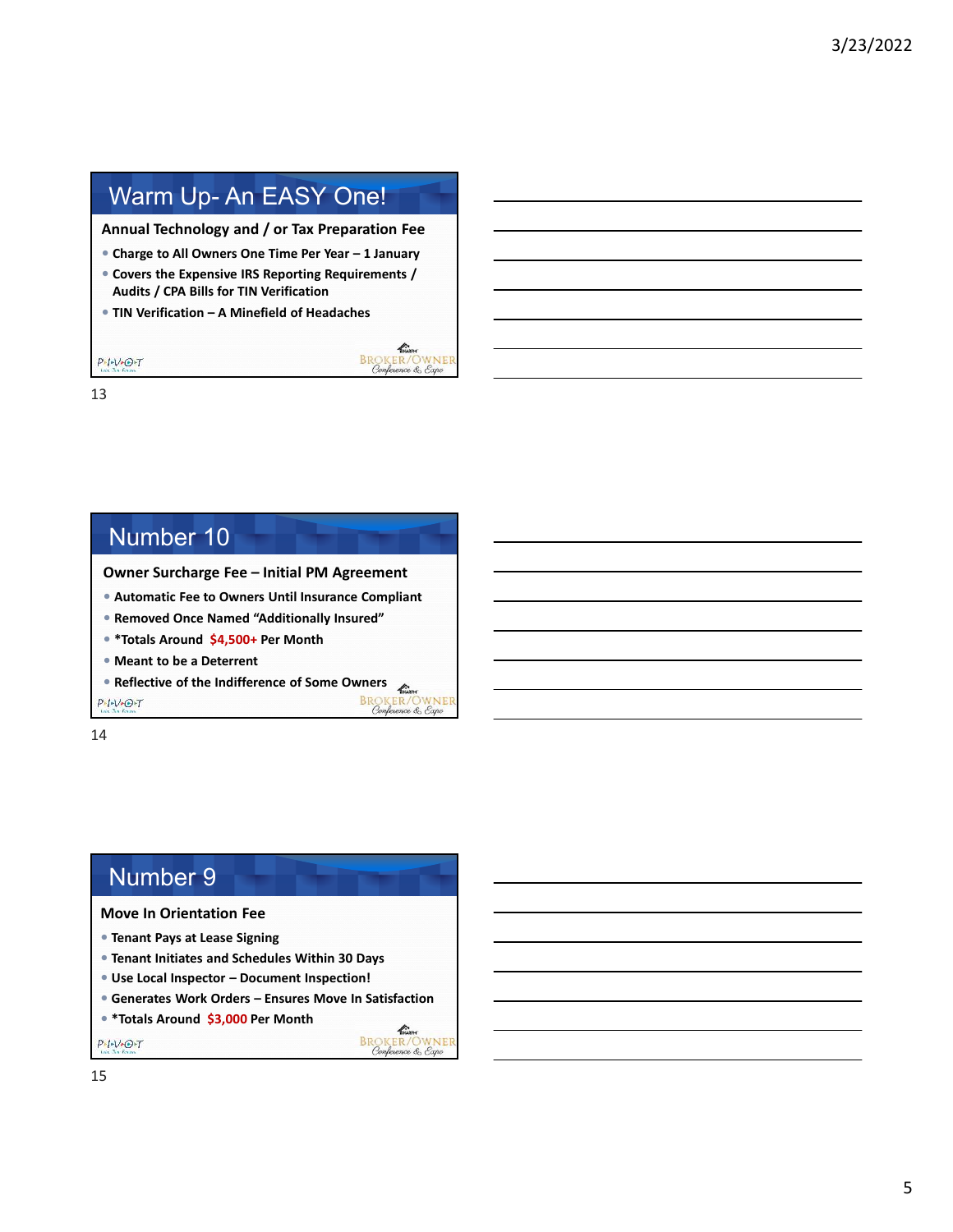# Warm Up- An EASY One!

**Annual Technology and / or Tax Preparation Fee**

- **Charge to All Owners One Time Per Year 1 January**
- **Covers the Expensive IRS Reporting Requirements / Audits / CPA Bills for TIN Verification**

KNARPH

**BROKER/OWNER**<br>Conference & Expo

**BROKER/OWNER**<br>Conference & Expo

**ENGLISH**<br>BROKER/OWNER<br>Conference & Expo

**TIN Verification – A Minefield of Headaches**

 $\frac{p_{\ast}p_{\ast}\sqrt{p_{\ast}p_{\ast}}}{\ln p_{\ast}p_{\ast}p_{\ast}}T$ 13

#### Number 10 **Owner Surcharge Fee – Initial PM Agreement Automatic Fee to Owners Until Insurance Compliant Removed Once Named "Additionally Insured" \*Totals Around \$4,500+ Per Month Meant to be a Deterrent**

**Reflective of the Indifference of Some Owners** 

 $P-I-V+O+T$ 

14

#### Number 9

#### **Move In Orientation Fee**

- **Tenant Pays at Lease Signing**
- **Tenant Initiates and Schedules Within 30 Days**
- **Use Local Inspector Document Inspection!**
- **Generates Work Orders Ensures Move In Satisfaction**
- **\*Totals Around \$3,000 Per Month**

 $P+V+O+T$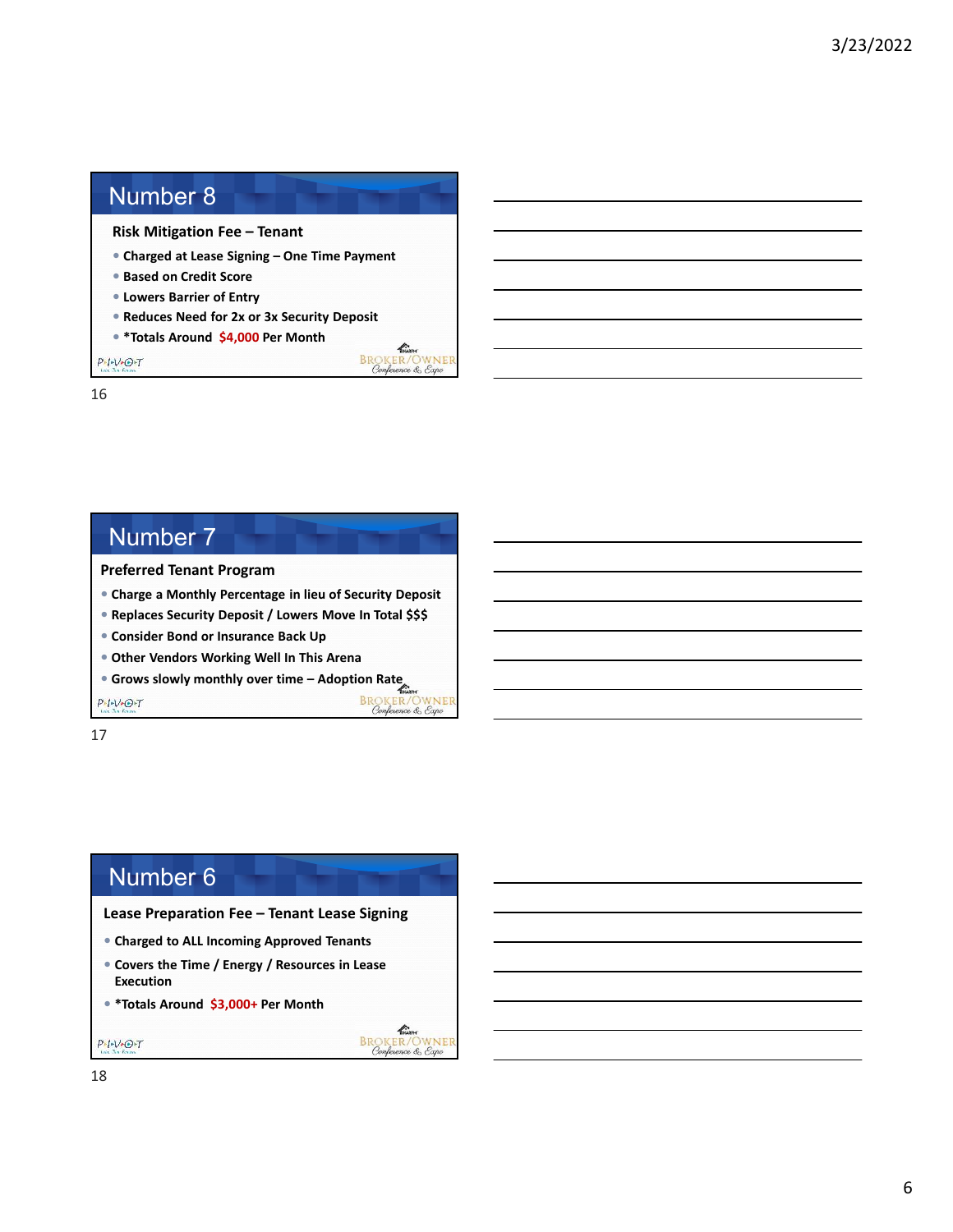### Number 8

**Risk Mitigation Fee – Tenant** 

- **Charged at Lease Signing One Time Payment**
- **Based on Credit Score**
- **Lowers Barrier of Entry**
- **Reduces Need for 2x or 3x Security Deposit**

THARPH **BROKER/OWNER** 

**BROKER/OWNER**<br>Conference & Expo

THARPH **BROKER/OWNER**<br>Conference & Expo

**\*Totals Around \$4,000 Per Month**

 $P-I-V+O+T$ 

16

# Number 7 **Preferred Tenant Program**

**Charge a Monthly Percentage in lieu of Security Deposit**

**Replaces Security Deposit / Lowers Move In Total \$\$\$**

**Consider Bond or Insurance Back Up**

- **Other Vendors Working Well In This Arena**
- **Grows slowly monthly over time Adoption Rate**

 $P-I-V+O+T$ 

17

#### Number 6

**Lease Preparation Fee – Tenant Lease Signing**

- **Charged to ALL Incoming Approved Tenants**
- **Covers the Time / Energy / Resources in Lease Execution**
- **\*Totals Around \$3,000+ Per Month**

18

 $P-I-V-O-T$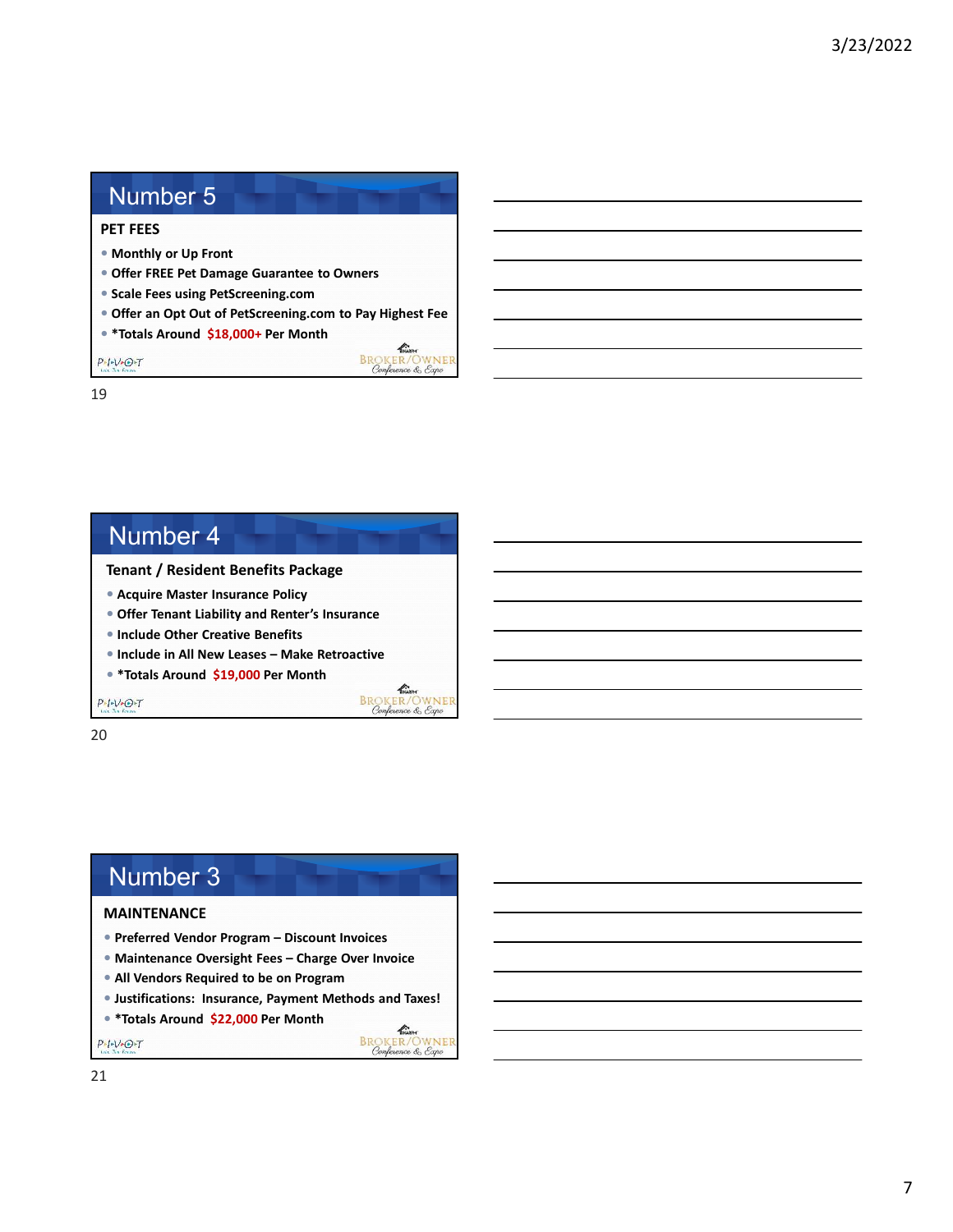#### Number 5

#### **PET FEES**

- **Monthly or Up Front**
- **Offer FREE Pet Damage Guarantee to Owners**
- **Scale Fees using PetScreening.com**
- **Offer an Opt Out of PetScreening.com to Pay Highest Fee**

**REGINAL REGISTER**<br>
Conference & Expo

 $\mathscr{L}_{\text{max}}$ **BROKER/OWNER**<br>Conference & Expo

KNARPH **BROKER/OWNER**<br>Conference & Expo

**\*Totals Around \$18,000+ Per Month**

 $P_{\text{max}} + V_{\text{e}} + T$ 

19

#### Number 4

**Tenant / Resident Benefits Package**

- **Acquire Master Insurance Policy**
- **Offer Tenant Liability and Renter's Insurance**
- **Include Other Creative Benefits**
- **Include in All New Leases Make Retroactive**
- **\*Totals Around \$19,000 Per Month**

 $P - I - V - O + T$ 

20

#### Number 3

#### **MAINTENANCE**

- **Preferred Vendor Program Discount Invoices**
- **Maintenance Oversight Fees Charge Over Invoice**
- **All Vendors Required to be on Program**
- **Justifications: Insurance, Payment Methods and Taxes!**
- **\*Totals Around \$22,000 Per Month**

 $P - I - V - O - T$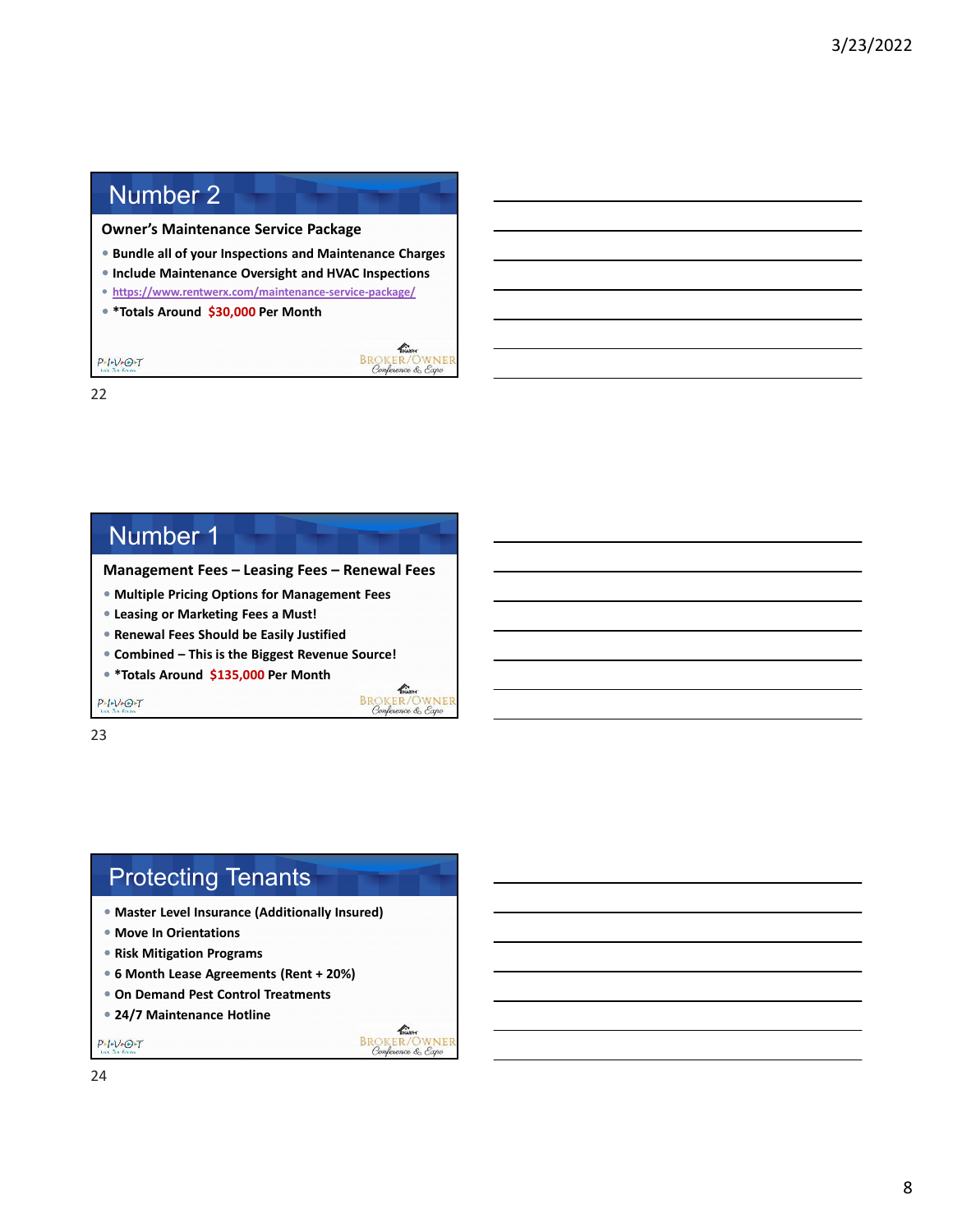# Number 2

**Owner's Maintenance Service Package**

- **Bundle all of your Inspections and Maintenance Charges**
- **Include Maintenance Oversight and HVAC Inspections**

KNARPH

**BROKER/OWNER**<br>Conference & Expo

 $\mathscr{L}$ **BROKER/OWNER**<br>Conference & Expo

TINARR **BROKER/OWNER** 

- **https://www.rentwerx.com/maintenance-service-package/**
- **\*Totals Around \$30,000 Per Month**

 $P \cdot I \cdot V \cdot O \cdot T$ 22

#### Number 1

**Management Fees – Leasing Fees – Renewal Fees**

- **Multiple Pricing Options for Management Fees**
- **Leasing or Marketing Fees a Must!**
- **Renewal Fees Should be Easily Justified**
- **Combined This is the Biggest Revenue Source!**
- **\*Totals Around \$135,000 Per Month**

 $P-I-V+O+T$ 

23

### Protecting Tenants

- **Master Level Insurance (Additionally Insured)**
- **Move In Orientations**
- **Risk Mitigation Programs**
- **6 Month Lease Agreements (Rent + 20%)**
- **On Demand Pest Control Treatments**
- **24/7 Maintenance Hotline**

 $P+V+O+T$